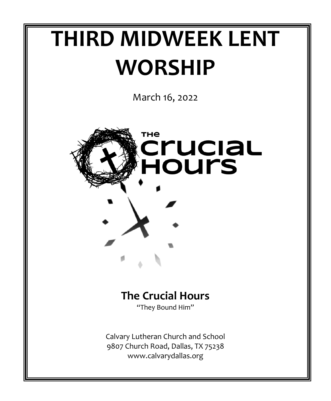# **THIRD MIDWEEK LENT WORSHIP**

March 16, 2022



### **The Crucial Hours** "They Bound Him"

Calvary Lutheran Church and School 9807 Church Road, Dallas, TX 75238 www.calvarydallas.org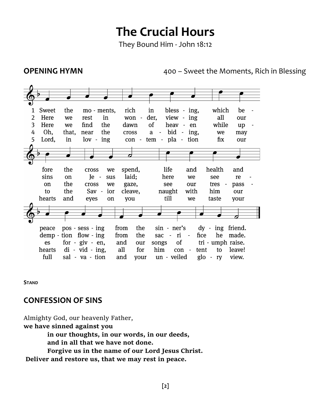# **The Crucial Hours**

They Bound Him - John 18:12

**OPENING HYMN 100 – Sweet the Moments, Rich in Blessing** 

| 1              | Sweet        | the   | mo - ments,                                 |     | rich        |            | in   |                                 | bless - ing,                   |      | which                   |        | be          |  |
|----------------|--------------|-------|---------------------------------------------|-----|-------------|------------|------|---------------------------------|--------------------------------|------|-------------------------|--------|-------------|--|
| $\overline{2}$ | Here         | we    | rest                                        | in  | won         | $\sim$     | der, |                                 | view - ing                     |      | all                     |        | our         |  |
| 3              | Here         | we    | find                                        | the | dawn        |            | οf   |                                 | heav - en                      |      | while                   |        | up          |  |
| 4              | Oh.          | that, | near                                        | the | cross       |            | a    |                                 | bid - ing,                     |      | we                      |        | may         |  |
| 5              | Lord,        | in    | $\frac{1}{\sqrt{2}}$ - $\frac{1}{\sqrt{2}}$ |     | con -       |            |      | tem - pla - tion                |                                |      | fix                     |        | our         |  |
|                |              |       |                                             |     |             |            |      |                                 |                                |      |                         |        |             |  |
|                |              |       |                                             |     | 7           |            |      |                                 |                                |      |                         |        |             |  |
|                |              |       |                                             |     |             |            |      |                                 |                                |      |                         |        |             |  |
|                | fore         | the   | cross                                       | we  | spend,      |            |      | life                            | and                            |      | health                  |        | and         |  |
|                | sins         | on    | Ie -                                        | sus | laid;       |            |      | here                            | we                             |      | see                     |        | re          |  |
|                | on           | the   | cross                                       | we  | gaze,       |            |      | see                             | our                            |      | tres                    | $\sim$ | pass        |  |
|                | to           | the   | Sav -                                       | ior | cleave,     |            |      | naught                          | with                           |      | him                     |        | our         |  |
|                | hearts       | and   | eyes                                        | on  | you         |            |      | till                            | we                             |      | taste                   |        | your        |  |
|                |              |       |                                             |     |             |            |      |                                 |                                |      |                         |        |             |  |
|                |              |       |                                             |     |             |            |      |                                 |                                |      |                         |        |             |  |
|                |              |       |                                             |     |             |            |      |                                 |                                |      |                         |        |             |  |
|                | peace        |       | pos - sess - ing                            |     | from        | the        |      | sin - ner's                     |                                |      | $dy -$                  |        | ing friend. |  |
|                |              |       | $demp - tion$ flow $-ing$                   |     | from        | the        |      | sac<br>$\overline{\phantom{a}}$ | ri<br>$\overline{\phantom{a}}$ | fice | he                      |        | made.       |  |
|                | es<br>hearts |       | for $-$ giv $-$ en,<br>$di - vid - ing$ ,   |     | and<br>all  | our<br>for |      | songs<br>him                    | of<br>con<br>$\blacksquare$    | tent | tri - umph raise.<br>to |        | leave!      |  |
|                | full         |       | sal - va - tion                             |     | and<br>vour |            |      | un - veiled                     |                                |      | $g$ lo - ry             | view.  |             |  |

**STAND**

### **CONFESSION OF SINS**

Almighty God, our heavenly Father, **we have sinned against you in our thoughts, in our words, in our deeds, and in all that we have not done. Forgive us in the name of our Lord Jesus Christ. Deliver and restore us, that we may rest in peace.**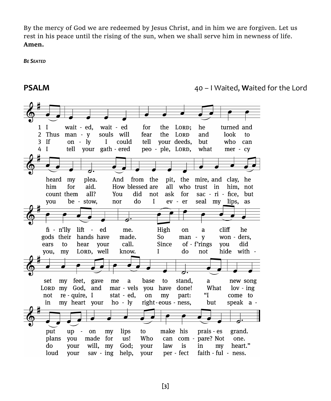By the mercy of God we are redeemed by Jesus Christ, and in him we are forgiven. Let us rest in his peace until the rising of the sun, when we shall serve him in newness of life. **Amen.** 

*BE SEATED*

**PSALM** 40 – I Waited, **W**aited for the Lord

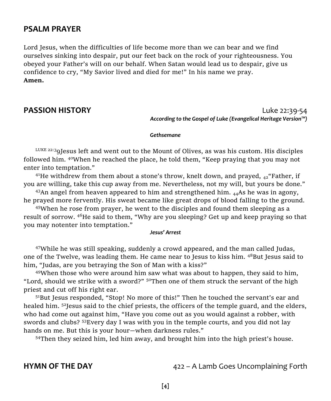### **PSALM PRAYER**

Lord Jesus, when the difficulties of life become more than we can bear and we find ourselves sinking into despair, put our feet back on the rock of your righteousness. You obeyed your Father's will on our behalf. When Satan would lead us to despair, give us confidence to cry, "My Savior lived and died for me!" In his name we pray. **Amen.**

**PASSION HISTORY** Luke 22:39-54 *According to the Gospel of Luke (Evangelical Heritage Version™)*

### *Gethsemane*

 $L_{\text{UKE}}$  22:39 Jesus left and went out to the Mount of Olives, as was his custom. His disciples followed him.  $40$ When he reached the place, he told them, "Keep praying that you may not enter into temptation."

<sup>41</sup>He withdrew from them about a stone's throw, knelt down, and prayed,  $_{42}$ "Father, if you are willing, take this cup away from me. Nevertheless, not my will, but yours be done."

 $43$ An angel from heaven appeared to him and strengthened him.  $_{44}$ As he was in agony, he prayed more fervently. His sweat became like great drops of blood falling to the ground.

<sup>45</sup>When he rose from prayer, he went to the disciples and found them sleeping as a result of sorrow. <sup>46</sup>He said to them, "Why are you sleeping? Get up and keep praying so that you may notenter into temptation."

### *Jesus' Arrest*

 $47$ While he was still speaking, suddenly a crowd appeared, and the man called Judas, one of the Twelve, was leading them. He came near to Jesus to kiss him.  $48$ But Jesus said to him, "Judas, are you betraying the Son of Man with a kiss?"

<sup>49</sup>When those who were around him saw what was about to happen, they said to him, "Lord, should we strike with a sword?"  $50$ "Then one of them struck the servant of the high priest and cut off his right ear.

<sup>51</sup>But Jesus responded, "Stop! No more of this!" Then he touched the servant's ear and healed him. <sup>52</sup>Jesus said to the chief priests, the officers of the temple guard, and the elders, who had come out against him, "Have you come out as you would against a robber, with swords and clubs?  $53E$ very day I was with you in the temple courts, and you did not lay hands on me. But this is your hour—when darkness rules."

<sup>54</sup>Then they seized him, led him away, and brought him into the high priest's house.

**HYMN OF THE DAY** 422 – A Lamb Goes Uncomplaining Forth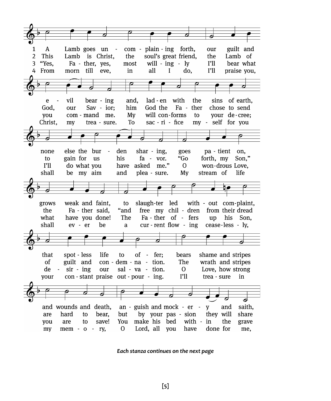

*Each stanza continues on the next page*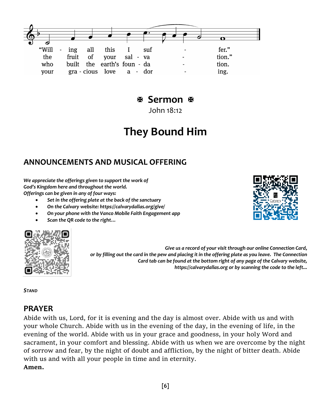## **Sermon**

John 18:12

# **They Bound Him**

### **ANNOUNCEMENTS AND MUSICAL OFFERING**

*We appreciate the offerings given to support the work of God's Kingdom here and throughout the world. Offerings can be given in any of four ways:*

- *Set in the offering plate at the back of the sanctuary*
- *On the Calvary website: https://calvarydallas.org/give/*
- *On your phone with the Vanco Mobile Faith Engagement app*
- *Scan the QR code to the right…*



*Give us a record of your visit through our online Connection Card, or by filling out the card in the pew and placing it in the offering plate as you leave. The Connection Card tab can be found at the bottom right of any page of the Calvary website, https://calvarydallas.org or by scanning the code to the left...*

*STAND*

### **PRAYER**

Abide with us, Lord, for it is evening and the day is almost over. Abide with us and with your whole Church. Abide with us in the evening of the day, in the evening of life, in the evening of the world. Abide with us in your grace and goodness, in your holy Word and sacrament, in your comfort and blessing. Abide with us when we are overcome by the night of sorrow and fear, by the night of doubt and affliction, by the night of bitter death. Abide with us and with all your people in time and in eternity. **Amen.** 

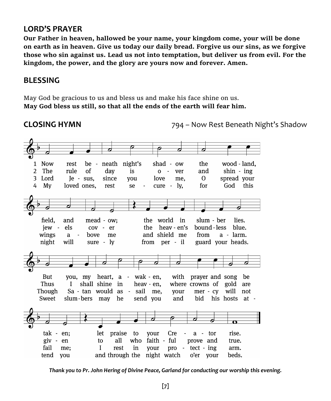### **LORD'S PRAYER**

**Our Father in heaven, hallowed be your name, your kingdom come, your will be done on earth as in heaven. Give us today our daily bread. Forgive us our sins, as we forgive those who sin against us. Lead us not into temptation, but deliver us from evil. For the kingdom, the power, and the glory are yours now and forever. Amen.**

### **BLESSING**

May God be gracious to us and bless us and make his face shine on us. **May God bless us still, so that all the ends of the earth will fear him.**

**CLOSING HYMN** 794 – Now Rest Beneath Night's Shadow



*Thank you to Pr. John Hering of Divine Peace, Garland for conducting our worship this evening.*